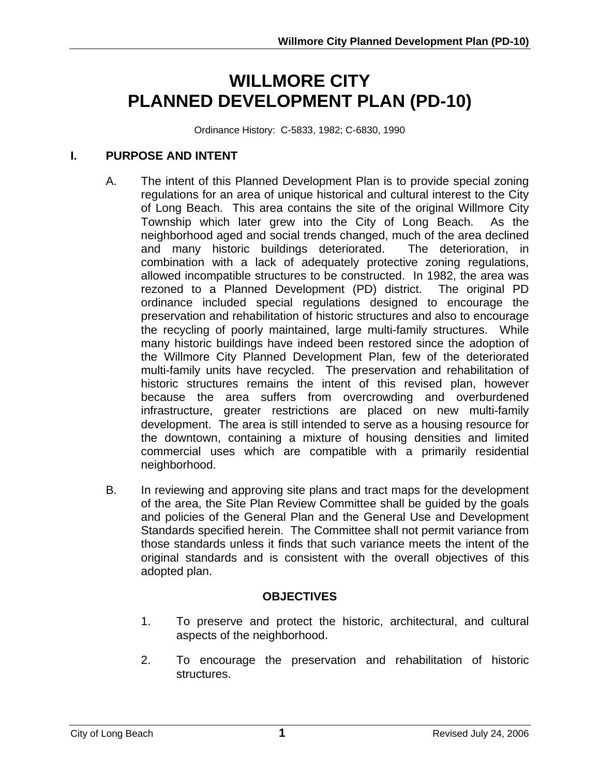# **WILLMORE CITY PLANNED DEVELOPMENT PLAN (PD-10)**

Ordinance History: C-5833, 1982; C-6830, 1990

#### **I. PURPOSE AND INTENT**

- A. The intent of this Planned Development Plan is to provide special zoning regulations for an area of unique historical and cultural interest to the City of Long Beach. This area contains the site of the original Willmore City Township which later grew into the City of Long Beach. As the neighborhood aged and social trends changed, much of the area declined and many historic buildings deteriorated. The deterioration, in combination with a lack of adequately protective zoning regulations, allowed incompatible structures to be constructed. In 1982, the area was rezoned to a Planned Development (PD) district. The original PD ordinance included special regulations designed to encourage the preservation and rehabilitation of historic structures and also to encourage the recycling of poorly maintained, large multi-family structures. While many historic buildings have indeed been restored since the adoption of the Willmore City Planned Development Plan, few of the deteriorated multi-family units have recycled. The preservation and rehabilitation of historic structures remains the intent of this revised plan, however because the area suffers from overcrowding and overburdened infrastructure, greater restrictions are placed on new multi-family development. The area is still intended to serve as a housing resource for the downtown, containing a mixture of housing densities and limited commercial uses which are compatible with a primarily residential neighborhood.
- B. In reviewing and approving site plans and tract maps for the development of the area, the Site Plan Review Committee shall be guided by the goals and policies of the General Plan and the General Use and Development Standards specified herein. The Committee shall not permit variance from those standards unless it finds that such variance meets the intent of the original standards and is consistent with the overall objectives of this adopted plan.

#### **OBJECTIVES**

- 1. To preserve and protect the historic, architectural, and cultural aspects of the neighborhood.
- 2. To encourage the preservation and rehabilitation of historic structures.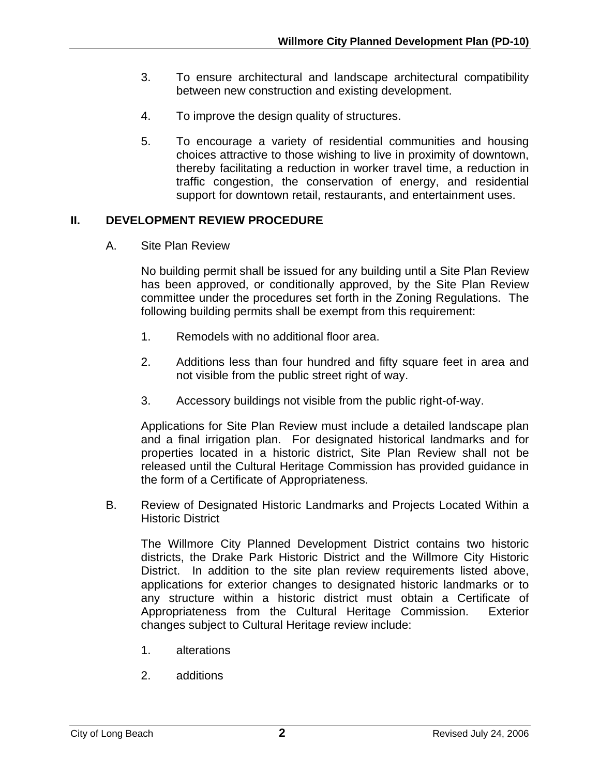- 3. To ensure architectural and landscape architectural compatibility between new construction and existing development.
- 4. To improve the design quality of structures.
- 5. To encourage a variety of residential communities and housing choices attractive to those wishing to live in proximity of downtown, thereby facilitating a reduction in worker travel time, a reduction in traffic congestion, the conservation of energy, and residential support for downtown retail, restaurants, and entertainment uses.

## **II. DEVELOPMENT REVIEW PROCEDURE**

A. Site Plan Review

No building permit shall be issued for any building until a Site Plan Review has been approved, or conditionally approved, by the Site Plan Review committee under the procedures set forth in the Zoning Regulations. The following building permits shall be exempt from this requirement:

- 1. Remodels with no additional floor area.
- 2. Additions less than four hundred and fifty square feet in area and not visible from the public street right of way.
- 3. Accessory buildings not visible from the public right-of-way.

Applications for Site Plan Review must include a detailed landscape plan and a final irrigation plan. For designated historical landmarks and for properties located in a historic district, Site Plan Review shall not be released until the Cultural Heritage Commission has provided guidance in the form of a Certificate of Appropriateness.

B. Review of Designated Historic Landmarks and Projects Located Within a Historic District

The Willmore City Planned Development District contains two historic districts, the Drake Park Historic District and the Willmore City Historic District. In addition to the site plan review requirements listed above, applications for exterior changes to designated historic landmarks or to any structure within a historic district must obtain a Certificate of Appropriateness from the Cultural Heritage Commission. Exterior changes subject to Cultural Heritage review include:

- 1. alterations
- 2. additions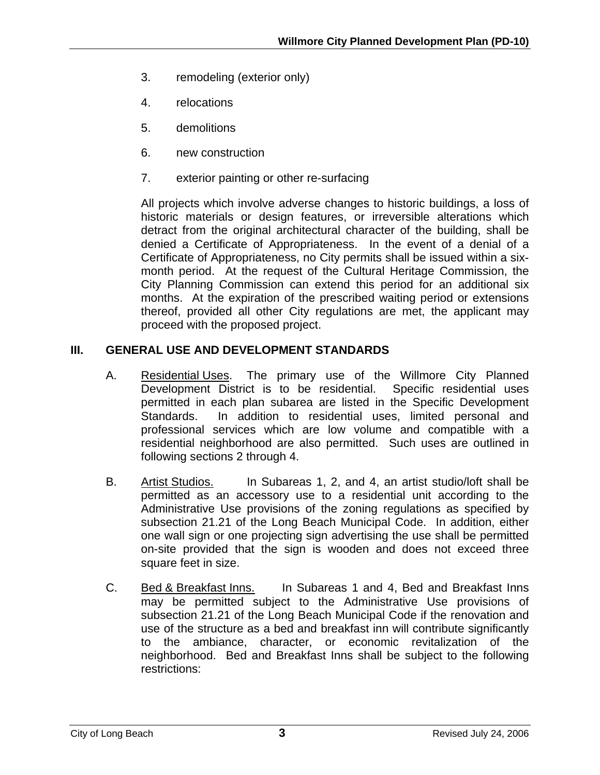- 3. remodeling (exterior only)
- 4. relocations
- 5. demolitions
- 6. new construction
- 7. exterior painting or other re-surfacing

All projects which involve adverse changes to historic buildings, a loss of historic materials or design features, or irreversible alterations which detract from the original architectural character of the building, shall be denied a Certificate of Appropriateness. In the event of a denial of a Certificate of Appropriateness, no City permits shall be issued within a sixmonth period. At the request of the Cultural Heritage Commission, the City Planning Commission can extend this period for an additional six months. At the expiration of the prescribed waiting period or extensions thereof, provided all other City regulations are met, the applicant may proceed with the proposed project.

## **III. GENERAL USE AND DEVELOPMENT STANDARDS**

- A. Residential Uses. The primary use of the Willmore City Planned Development District is to be residential. Specific residential uses permitted in each plan subarea are listed in the Specific Development Standards. In addition to residential uses, limited personal and professional services which are low volume and compatible with a residential neighborhood are also permitted. Such uses are outlined in following sections 2 through 4.
- B. Artist Studios. In Subareas 1, 2, and 4, an artist studio/loft shall be permitted as an accessory use to a residential unit according to the Administrative Use provisions of the zoning regulations as specified by subsection 21.21 of the Long Beach Municipal Code. In addition, either one wall sign or one projecting sign advertising the use shall be permitted on-site provided that the sign is wooden and does not exceed three square feet in size.
- C. Bed & Breakfast Inns. In Subareas 1 and 4, Bed and Breakfast Inns may be permitted subject to the Administrative Use provisions of subsection 21.21 of the Long Beach Municipal Code if the renovation and use of the structure as a bed and breakfast inn will contribute significantly to the ambiance, character, or economic revitalization of the neighborhood. Bed and Breakfast Inns shall be subject to the following restrictions: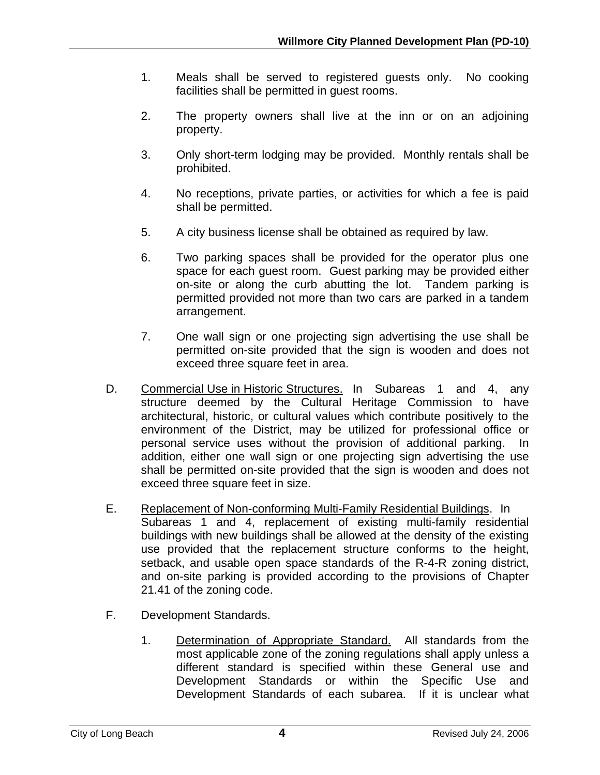- 1. Meals shall be served to registered guests only. No cooking facilities shall be permitted in guest rooms.
- 2. The property owners shall live at the inn or on an adjoining property.
- 3. Only short-term lodging may be provided. Monthly rentals shall be prohibited.
- 4. No receptions, private parties, or activities for which a fee is paid shall be permitted.
- 5. A city business license shall be obtained as required by law.
- 6. Two parking spaces shall be provided for the operator plus one space for each guest room. Guest parking may be provided either on-site or along the curb abutting the lot. Tandem parking is permitted provided not more than two cars are parked in a tandem arrangement.
- 7. One wall sign or one projecting sign advertising the use shall be permitted on-site provided that the sign is wooden and does not exceed three square feet in area.
- D. Commercial Use in Historic Structures. In Subareas 1 and 4, any structure deemed by the Cultural Heritage Commission to have architectural, historic, or cultural values which contribute positively to the environment of the District, may be utilized for professional office or personal service uses without the provision of additional parking. In addition, either one wall sign or one projecting sign advertising the use shall be permitted on-site provided that the sign is wooden and does not exceed three square feet in size.
- E. Replacement of Non-conforming Multi-Family Residential Buildings. In Subareas 1 and 4, replacement of existing multi-family residential buildings with new buildings shall be allowed at the density of the existing use provided that the replacement structure conforms to the height, setback, and usable open space standards of the R-4-R zoning district, and on-site parking is provided according to the provisions of Chapter 21.41 of the zoning code.
- F. Development Standards.
	- 1. Determination of Appropriate Standard. All standards from the most applicable zone of the zoning regulations shall apply unless a different standard is specified within these General use and Development Standards or within the Specific Use and Development Standards of each subarea. If it is unclear what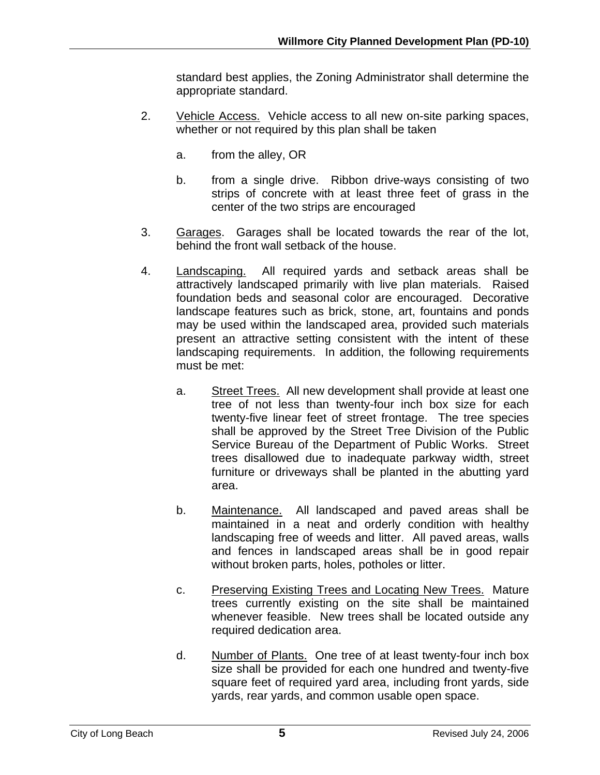standard best applies, the Zoning Administrator shall determine the appropriate standard.

- 2. Vehicle Access. Vehicle access to all new on-site parking spaces, whether or not required by this plan shall be taken
	- a. from the alley, OR
	- b. from a single drive. Ribbon drive-ways consisting of two strips of concrete with at least three feet of grass in the center of the two strips are encouraged
- 3. Garages. Garages shall be located towards the rear of the lot, behind the front wall setback of the house.
- 4. Landscaping. All required yards and setback areas shall be attractively landscaped primarily with live plan materials. Raised foundation beds and seasonal color are encouraged. Decorative landscape features such as brick, stone, art, fountains and ponds may be used within the landscaped area, provided such materials present an attractive setting consistent with the intent of these landscaping requirements. In addition, the following requirements must be met:
	- a. Street Trees. All new development shall provide at least one tree of not less than twenty-four inch box size for each twenty-five linear feet of street frontage. The tree species shall be approved by the Street Tree Division of the Public Service Bureau of the Department of Public Works. Street trees disallowed due to inadequate parkway width, street furniture or driveways shall be planted in the abutting yard area.
	- b. Maintenance. All landscaped and paved areas shall be maintained in a neat and orderly condition with healthy landscaping free of weeds and litter. All paved areas, walls and fences in landscaped areas shall be in good repair without broken parts, holes, potholes or litter.
	- c. Preserving Existing Trees and Locating New Trees. Mature trees currently existing on the site shall be maintained whenever feasible. New trees shall be located outside any required dedication area.
	- d. Number of Plants. One tree of at least twenty-four inch box size shall be provided for each one hundred and twenty-five square feet of required yard area, including front yards, side yards, rear yards, and common usable open space.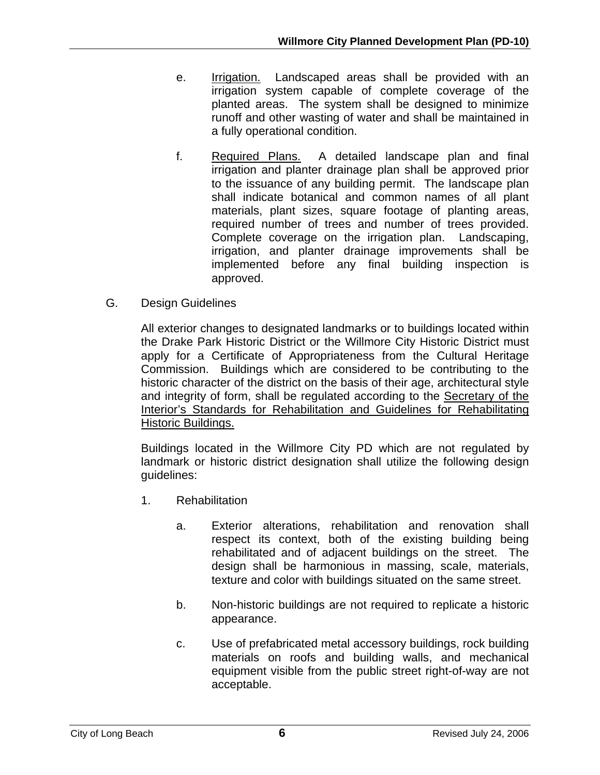- e. Irrigation. Landscaped areas shall be provided with an irrigation system capable of complete coverage of the planted areas. The system shall be designed to minimize runoff and other wasting of water and shall be maintained in a fully operational condition.
- f. Required Plans. A detailed landscape plan and final irrigation and planter drainage plan shall be approved prior to the issuance of any building permit. The landscape plan shall indicate botanical and common names of all plant materials, plant sizes, square footage of planting areas, required number of trees and number of trees provided. Complete coverage on the irrigation plan. Landscaping, irrigation, and planter drainage improvements shall be implemented before any final building inspection is approved.
- G. Design Guidelines

All exterior changes to designated landmarks or to buildings located within the Drake Park Historic District or the Willmore City Historic District must apply for a Certificate of Appropriateness from the Cultural Heritage Commission. Buildings which are considered to be contributing to the historic character of the district on the basis of their age, architectural style and integrity of form, shall be regulated according to the Secretary of the Interior's Standards for Rehabilitation and Guidelines for Rehabilitating Historic Buildings.

Buildings located in the Willmore City PD which are not regulated by landmark or historic district designation shall utilize the following design guidelines:

- 1. Rehabilitation
	- a. Exterior alterations, rehabilitation and renovation shall respect its context, both of the existing building being rehabilitated and of adjacent buildings on the street. The design shall be harmonious in massing, scale, materials, texture and color with buildings situated on the same street.
	- b. Non-historic buildings are not required to replicate a historic appearance.
	- c. Use of prefabricated metal accessory buildings, rock building materials on roofs and building walls, and mechanical equipment visible from the public street right-of-way are not acceptable.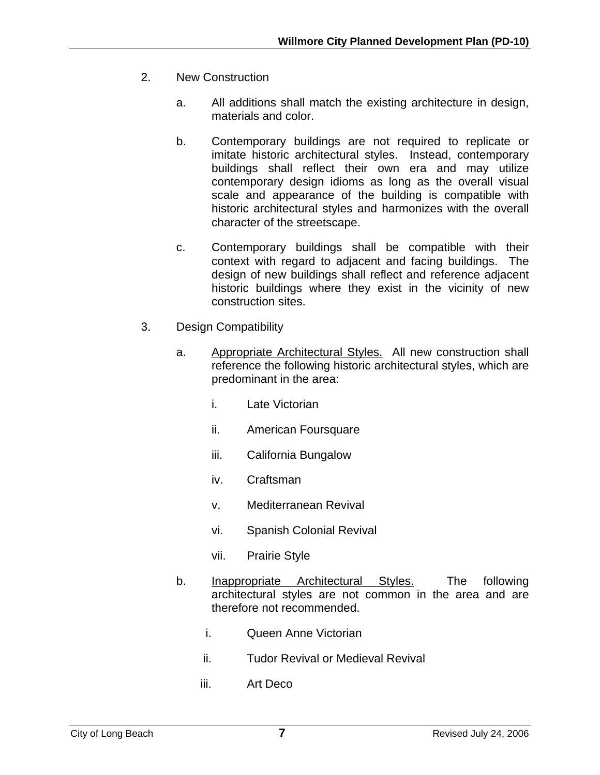- 2. New Construction
	- a. All additions shall match the existing architecture in design, materials and color.
	- b. Contemporary buildings are not required to replicate or imitate historic architectural styles. Instead, contemporary buildings shall reflect their own era and may utilize contemporary design idioms as long as the overall visual scale and appearance of the building is compatible with historic architectural styles and harmonizes with the overall character of the streetscape.
	- c. Contemporary buildings shall be compatible with their context with regard to adjacent and facing buildings. The design of new buildings shall reflect and reference adjacent historic buildings where they exist in the vicinity of new construction sites.
- 3. Design Compatibility
	- a. Appropriate Architectural Styles. All new construction shall reference the following historic architectural styles, which are predominant in the area:
		- i. Late Victorian
		- ii. American Foursquare
		- iii. California Bungalow
		- iv. Craftsman
		- v. Mediterranean Revival
		- vi. Spanish Colonial Revival
		- vii. Prairie Style
	- b. Inappropriate Architectural Styles. The following architectural styles are not common in the area and are therefore not recommended.
		- i. Queen Anne Victorian
		- ii. Tudor Revival or Medieval Revival
		- iii. Art Deco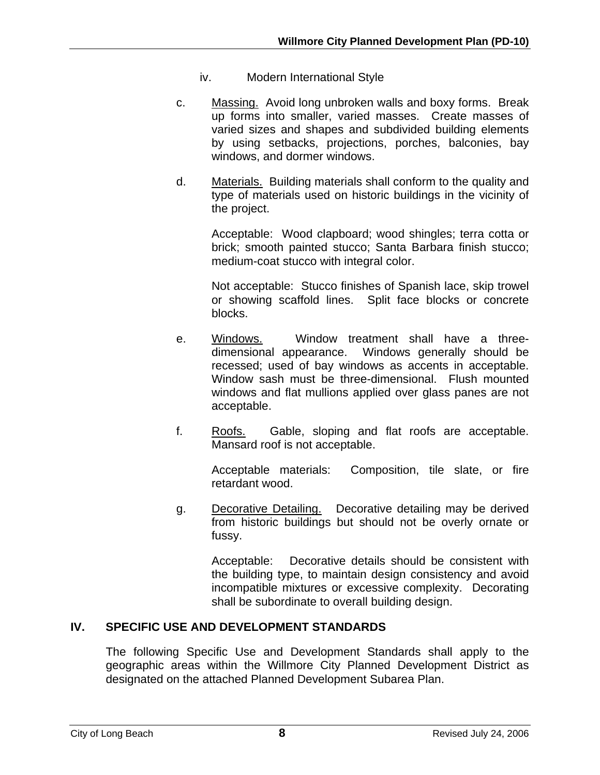- iv. Modern International Style
- c. Massing. Avoid long unbroken walls and boxy forms. Break up forms into smaller, varied masses. Create masses of varied sizes and shapes and subdivided building elements by using setbacks, projections, porches, balconies, bay windows, and dormer windows.
- d. Materials. Building materials shall conform to the quality and type of materials used on historic buildings in the vicinity of the project.

Acceptable: Wood clapboard; wood shingles; terra cotta or brick; smooth painted stucco; Santa Barbara finish stucco; medium-coat stucco with integral color.

Not acceptable: Stucco finishes of Spanish lace, skip trowel or showing scaffold lines. Split face blocks or concrete blocks.

- e. Windows. Window treatment shall have a threedimensional appearance. Windows generally should be recessed; used of bay windows as accents in acceptable. Window sash must be three-dimensional. Flush mounted windows and flat mullions applied over glass panes are not acceptable.
- f. Roofs. Gable, sloping and flat roofs are acceptable. Mansard roof is not acceptable.

Acceptable materials: Composition, tile slate, or fire retardant wood.

g. Decorative Detailing. Decorative detailing may be derived from historic buildings but should not be overly ornate or fussy.

Acceptable: Decorative details should be consistent with the building type, to maintain design consistency and avoid incompatible mixtures or excessive complexity. Decorating shall be subordinate to overall building design.

## **IV. SPECIFIC USE AND DEVELOPMENT STANDARDS**

The following Specific Use and Development Standards shall apply to the geographic areas within the Willmore City Planned Development District as designated on the attached Planned Development Subarea Plan.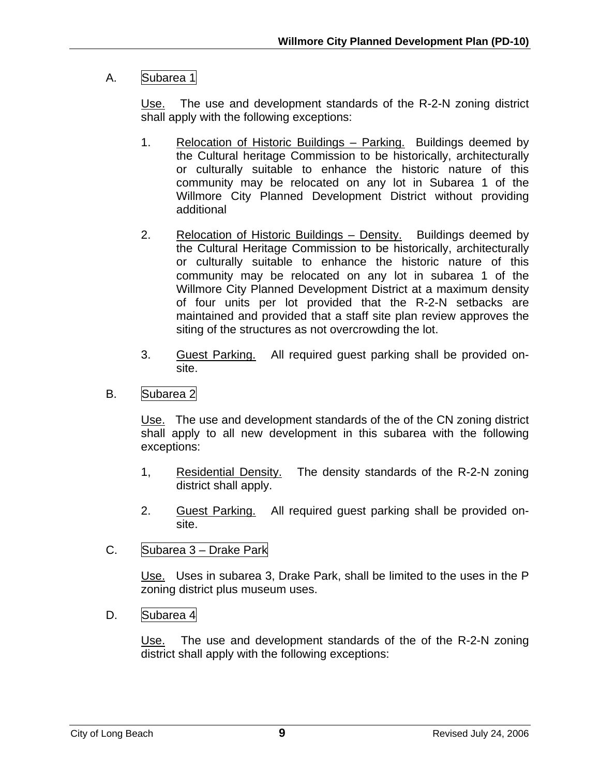## A. Subarea 1

Use. The use and development standards of the R-2-N zoning district shall apply with the following exceptions:

- 1. Relocation of Historic Buildings Parking. Buildings deemed by the Cultural heritage Commission to be historically, architecturally or culturally suitable to enhance the historic nature of this community may be relocated on any lot in Subarea 1 of the Willmore City Planned Development District without providing additional
- 2. Relocation of Historic Buildings Density. Buildings deemed by the Cultural Heritage Commission to be historically, architecturally or culturally suitable to enhance the historic nature of this community may be relocated on any lot in subarea 1 of the Willmore City Planned Development District at a maximum density of four units per lot provided that the R-2-N setbacks are maintained and provided that a staff site plan review approves the siting of the structures as not overcrowding the lot.
- 3. Guest Parking. All required guest parking shall be provided onsite.
- B. Subarea 2

Use. The use and development standards of the of the CN zoning district shall apply to all new development in this subarea with the following exceptions:

- 1, Residential Density. The density standards of the R-2-N zoning district shall apply.
- 2. Guest Parking. All required guest parking shall be provided onsite.
- C. Subarea 3 Drake Park

Use. Uses in subarea 3, Drake Park, shall be limited to the uses in the P zoning district plus museum uses.

D. Subarea 4

Use. The use and development standards of the of the R-2-N zoning district shall apply with the following exceptions: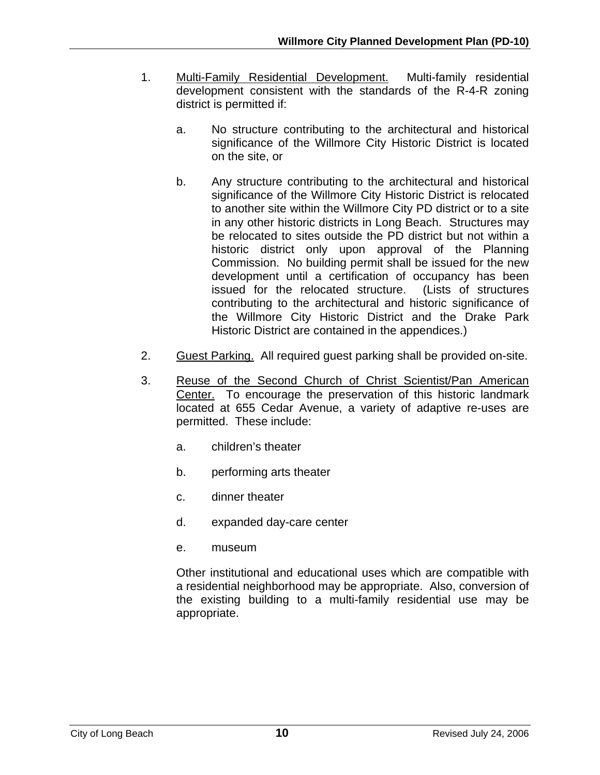- 1. Multi-Family Residential Development. Multi-family residential development consistent with the standards of the R-4-R zoning district is permitted if:
	- a. No structure contributing to the architectural and historical significance of the Willmore City Historic District is located on the site, or
	- b. Any structure contributing to the architectural and historical significance of the Willmore City Historic District is relocated to another site within the Willmore City PD district or to a site in any other historic districts in Long Beach. Structures may be relocated to sites outside the PD district but not within a historic district only upon approval of the Planning Commission. No building permit shall be issued for the new development until a certification of occupancy has been issued for the relocated structure. (Lists of structures contributing to the architectural and historic significance of the Willmore City Historic District and the Drake Park Historic District are contained in the appendices.)
- 2. Guest Parking. All required guest parking shall be provided on-site.
- 3. Reuse of the Second Church of Christ Scientist/Pan American Center. To encourage the preservation of this historic landmark located at 655 Cedar Avenue, a variety of adaptive re-uses are permitted. These include:
	- a. children's theater
	- b. performing arts theater
	- c. dinner theater
	- d. expanded day-care center
	- e. museum

Other institutional and educational uses which are compatible with a residential neighborhood may be appropriate. Also, conversion of the existing building to a multi-family residential use may be appropriate.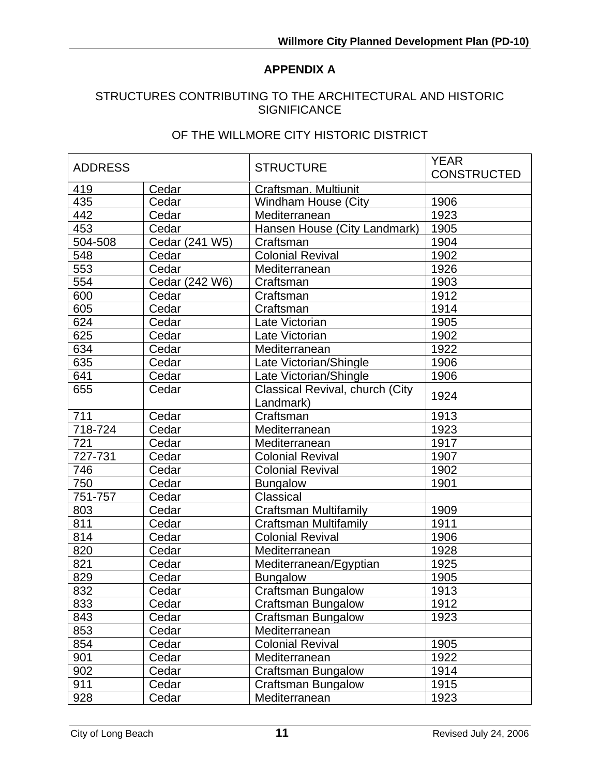## **APPENDIX A**

#### STRUCTURES CONTRIBUTING TO THE ARCHITECTURAL AND HISTORIC **SIGNIFICANCE**

#### OF THE WILLMORE CITY HISTORIC DISTRICT

| <b>ADDRESS</b> |                | <b>STRUCTURE</b>                | <b>YEAR</b>        |
|----------------|----------------|---------------------------------|--------------------|
|                |                |                                 | <b>CONSTRUCTED</b> |
| 419            | Cedar          | Craftsman. Multiunit            |                    |
| 435            | Cedar          | <b>Windham House (City</b>      | 1906               |
| 442            | Cedar          | Mediterranean                   | 1923               |
| 453            | Cedar          | Hansen House (City Landmark)    | 1905               |
| $504 - 508$    | Cedar (241 W5) | Craftsman                       | 1904               |
| 548            | Cedar          | <b>Colonial Revival</b>         | 1902               |
| 553            | Cedar          | Mediterranean                   | 1926               |
| 554            | Cedar (242 W6) | Craftsman                       | 1903               |
| 600            | Cedar          | Craftsman                       | 1912               |
| 605            | Cedar          | Craftsman                       | 1914               |
| 624            | Cedar          | Late Victorian                  | 1905               |
| 625            | Cedar          | Late Victorian                  | 1902               |
| 634            | Cedar          | Mediterranean                   | 1922               |
| 635            | Cedar          | Late Victorian/Shingle          | 1906               |
| 641            | Cedar          | Late Victorian/Shingle          | 1906               |
| 655            | Cedar          | Classical Revival, church (City | 1924               |
|                |                | Landmark)                       |                    |
| 711            | Cedar          | Craftsman                       | 1913               |
| 718-724        | Cedar          | Mediterranean                   | 1923               |
| 721            | Cedar          | Mediterranean                   | 1917               |
| 727-731        | Cedar          | <b>Colonial Revival</b>         | 1907               |
| 746            | Cedar          | <b>Colonial Revival</b>         | 1902               |
| 750            | Cedar          | <b>Bungalow</b>                 | 1901               |
| 751-757        | Cedar          | Classical                       |                    |
| 803            | Cedar          | <b>Craftsman Multifamily</b>    | 1909               |
| 811            | Cedar          | Craftsman Multifamily           | 1911               |
| 814            | Cedar          | <b>Colonial Revival</b>         | 1906               |
| 820            | Cedar          | Mediterranean                   | 1928               |
| 821            | Cedar          | Mediterranean/Egyptian          | 1925               |
| 829            | Cedar          | <b>Bungalow</b>                 | 1905               |
| 832            | Cedar          | <b>Craftsman Bungalow</b>       | 1913               |
| 833            | Cedar          | <b>Craftsman Bungalow</b>       | 1912               |
| 843            | Cedar          | Craftsman Bungalow              | 1923               |
| 853            | Cedar          | Mediterranean                   |                    |
| 854            | Cedar          | <b>Colonial Revival</b>         | 1905               |
| 901            | Cedar          | Mediterranean                   | 1922               |
| 902            | Cedar          | <b>Craftsman Bungalow</b>       | 1914               |
| 911            | Cedar          | <b>Craftsman Bungalow</b>       | 1915               |
| 928            | Cedar          | Mediterranean                   | 1923               |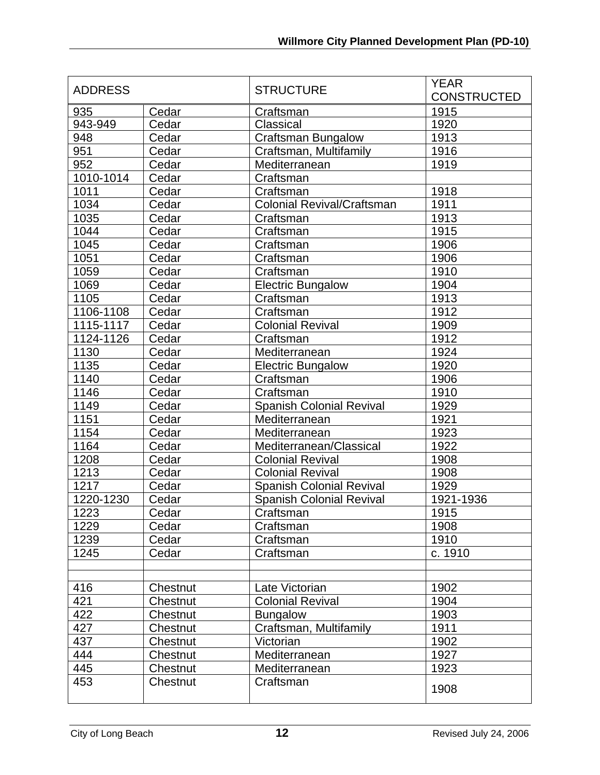| <b>ADDRESS</b> |          | <b>STRUCTURE</b>                  | <b>YEAR</b><br><b>CONSTRUCTED</b> |
|----------------|----------|-----------------------------------|-----------------------------------|
| 935            | Cedar    | Craftsman                         | 1915                              |
| 943-949        | Cedar    | Classical                         | 1920                              |
| 948            | Cedar    | <b>Craftsman Bungalow</b>         | 1913                              |
| 951            | Cedar    | Craftsman, Multifamily            | 1916                              |
| 952            | Cedar    | Mediterranean                     | 1919                              |
| 1010-1014      | Cedar    | Craftsman                         |                                   |
| 1011           | Cedar    | Craftsman                         | 1918                              |
| 1034           | Cedar    | <b>Colonial Revival/Craftsman</b> | 1911                              |
| 1035           | Cedar    | Craftsman                         | 1913                              |
| 1044           | Cedar    | Craftsman                         | 1915                              |
| 1045           | Cedar    | Craftsman                         | 1906                              |
| 1051           | Cedar    | Craftsman                         | 1906                              |
| 1059           | Cedar    | Craftsman                         | 1910                              |
| 1069           | Cedar    | <b>Electric Bungalow</b>          | 1904                              |
| 1105           | Cedar    | Craftsman                         | 1913                              |
| 1106-1108      | Cedar    | Craftsman                         | 1912                              |
| 1115-1117      | Cedar    | <b>Colonial Revival</b>           | 1909                              |
| 1124-1126      | Cedar    | Craftsman                         | 1912                              |
| 1130           | Cedar    | Mediterranean                     | 1924                              |
| 1135           | Cedar    | <b>Electric Bungalow</b>          | 1920                              |
| 1140           | Cedar    | Craftsman                         | 1906                              |
| 1146           | Cedar    | Craftsman                         | 1910                              |
| 1149           | Cedar    | <b>Spanish Colonial Revival</b>   | 1929                              |
| 1151           | Cedar    | Mediterranean                     | 1921                              |
| 1154           | Cedar    | Mediterranean                     | 1923                              |
| 1164           | Cedar    | Mediterranean/Classical           | 1922                              |
| 1208           | Cedar    | <b>Colonial Revival</b>           | 1908                              |
| 1213           | Cedar    | <b>Colonial Revival</b>           | 1908                              |
| 1217           | Cedar    | <b>Spanish Colonial Revival</b>   | 1929                              |
| 1220-1230      | Cedar    | <b>Spanish Colonial Revival</b>   | 1921-1936                         |
| 1223           | Cedar    | Craftsman                         | 1915                              |
| 1229           | Cedar    | Craftsman                         | 1908                              |
| 1239           | Cedar    | Craftsman                         | 1910                              |
| 1245           | Cedar    | Craftsman                         | c. 1910                           |
|                |          |                                   |                                   |
| 416            | Chestnut | Late Victorian                    | 1902                              |
| 421            | Chestnut | <b>Colonial Revival</b>           | 1904                              |
| 422            | Chestnut | <b>Bungalow</b>                   | 1903                              |
| 427            | Chestnut | Craftsman, Multifamily            | 1911                              |
| 437            | Chestnut | Victorian                         | 1902                              |
| 444            | Chestnut | Mediterranean                     | 1927                              |
| 445            | Chestnut | Mediterranean                     | 1923                              |
| 453            | Chestnut | Craftsman                         |                                   |
|                |          |                                   | 1908                              |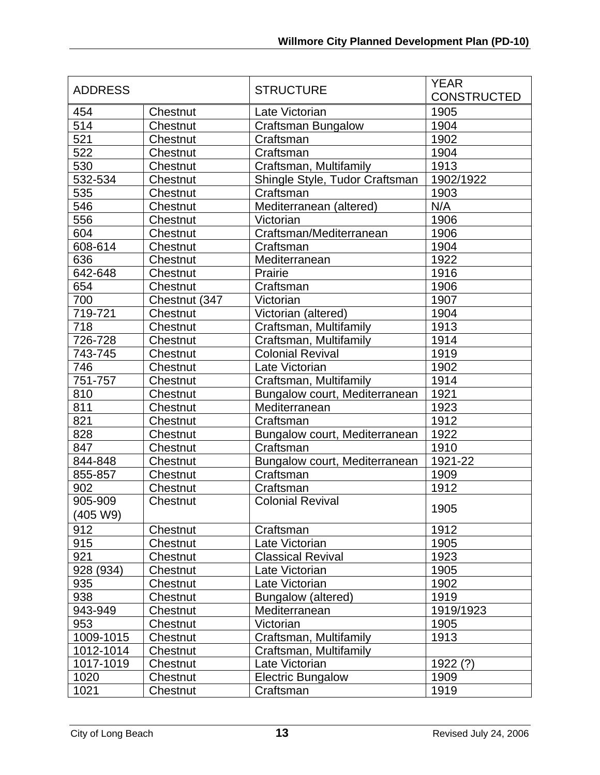| <b>ADDRESS</b> |               |                                | <b>YEAR</b>        |
|----------------|---------------|--------------------------------|--------------------|
|                |               | <b>STRUCTURE</b>               | <b>CONSTRUCTED</b> |
| 454            | Chestnut      | Late Victorian                 | 1905               |
| 514            | Chestnut      | <b>Craftsman Bungalow</b>      | 1904               |
| 521            | Chestnut      | Craftsman                      | 1902               |
| 522            | Chestnut      | Craftsman                      | 1904               |
| 530            | Chestnut      | Craftsman, Multifamily         | 1913               |
| 532-534        | Chestnut      | Shingle Style, Tudor Craftsman | 1902/1922          |
| 535            | Chestnut      | Craftsman                      | 1903               |
| 546            | Chestnut      | Mediterranean (altered)        | N/A                |
| 556            | Chestnut      | Victorian                      | 1906               |
| 604            | Chestnut      | Craftsman/Mediterranean        | 1906               |
| 608-614        | Chestnut      | Craftsman                      | 1904               |
| 636            | Chestnut      | Mediterranean                  | 1922               |
| 642-648        | Chestnut      | Prairie                        | 1916               |
| 654            | Chestnut      | Craftsman                      | 1906               |
| 700            | Chestnut (347 | Victorian                      | 1907               |
| 719-721        | Chestnut      | Victorian (altered)            | 1904               |
| 718            | Chestnut      | Craftsman, Multifamily         | 1913               |
| 726-728        | Chestnut      | Craftsman, Multifamily         | 1914               |
| 743-745        | Chestnut      | <b>Colonial Revival</b>        | 1919               |
| 746            | Chestnut      | Late Victorian                 | 1902               |
| 751-757        | Chestnut      | Craftsman, Multifamily         | 1914               |
| 810            | Chestnut      | Bungalow court, Mediterranean  | 1921               |
| 811            | Chestnut      | Mediterranean                  | 1923               |
| 821            | Chestnut      | Craftsman                      | 1912               |
| 828            | Chestnut      | Bungalow court, Mediterranean  | 1922               |
| 847            | Chestnut      | Craftsman                      | 1910               |
| 844-848        | Chestnut      | Bungalow court, Mediterranean  | 1921-22            |
| 855-857        | Chestnut      | Craftsman                      | 1909               |
| 902            | Chestnut      | Craftsman                      | 1912               |
| 905-909        | Chestnut      | <b>Colonial Revival</b>        |                    |
| (405 W9)       |               |                                | 1905               |
| 912            | Chestnut      | Craftsman                      | 1912               |
| 915            | Chestnut      | Late Victorian                 | 1905               |
| 921            | Chestnut      | <b>Classical Revival</b>       | 1923               |
| 928 (934)      | Chestnut      | Late Victorian                 | 1905               |
| 935            | Chestnut      | Late Victorian                 | 1902               |
| 938            | Chestnut      | Bungalow (altered)             | 1919               |
| 943-949        | Chestnut      | Mediterranean                  | 1919/1923          |
| 953            | Chestnut      | Victorian                      | 1905               |
| 1009-1015      | Chestnut      | Craftsman, Multifamily         | 1913               |
| 1012-1014      | Chestnut      | Craftsman, Multifamily         |                    |
| 1017-1019      | Chestnut      | Late Victorian                 | 1922(?)            |
| 1020           | Chestnut      | <b>Electric Bungalow</b>       | 1909               |
| 1021           | Chestnut      | Craftsman                      | 1919               |
|                |               |                                |                    |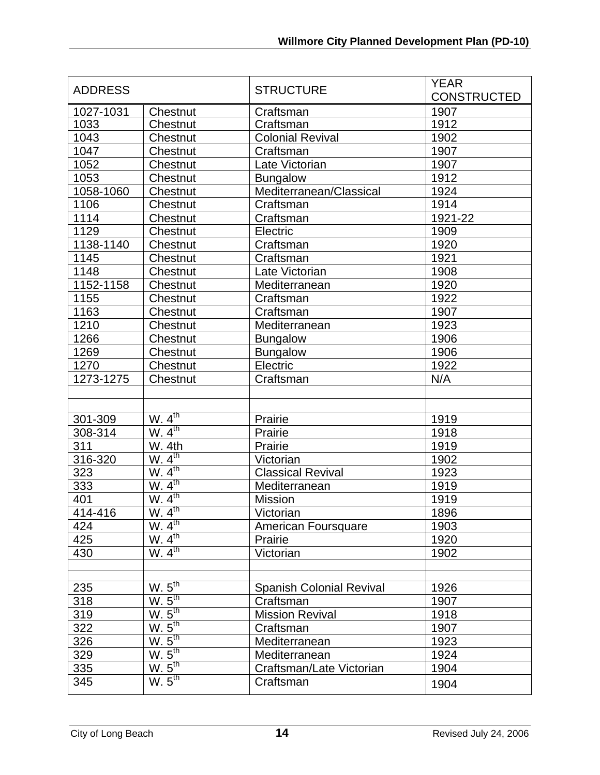| <b>ADDRESS</b> |                    | <b>STRUCTURE</b>                | <b>YEAR</b><br><b>CONSTRUCTED</b> |
|----------------|--------------------|---------------------------------|-----------------------------------|
| 1027-1031      | Chestnut           | Craftsman                       | 1907                              |
| 1033           | Chestnut           | Craftsman                       | 1912                              |
| 1043           | Chestnut           | <b>Colonial Revival</b>         | 1902                              |
| 1047           | Chestnut           | Craftsman                       | 1907                              |
| 1052           | Chestnut           | Late Victorian                  | 1907                              |
| 1053           | Chestnut           | <b>Bungalow</b>                 | 1912                              |
| 1058-1060      | Chestnut           | Mediterranean/Classical         | 1924                              |
| 1106           | Chestnut           | Craftsman                       | 1914                              |
| 1114           | Chestnut           | Craftsman                       | 1921-22                           |
| 1129           | Chestnut           | Electric                        | 1909                              |
| 1138-1140      | Chestnut           | Craftsman                       | 1920                              |
| 1145           | Chestnut           | Craftsman                       | 1921                              |
| 1148           | Chestnut           | Late Victorian                  | 1908                              |
| 1152-1158      | Chestnut           | Mediterranean                   | 1920                              |
| 1155           | Chestnut           | Craftsman                       | 1922                              |
| 1163           | Chestnut           | Craftsman                       | 1907                              |
| 1210           | Chestnut           | Mediterranean                   | 1923                              |
| 1266           | Chestnut           | <b>Bungalow</b>                 | 1906                              |
| 1269           | Chestnut           | <b>Bungalow</b>                 | 1906                              |
| 1270           | Chestnut           | Electric                        | 1922                              |
| 1273-1275      | Chestnut           | Craftsman                       | N/A                               |
|                |                    |                                 |                                   |
|                |                    |                                 |                                   |
| 301-309        | W.4 <sup>th</sup>  | Prairie                         | 1919                              |
| 308-314        | W.4 <sup>th</sup>  | Prairie                         | 1918                              |
| 311            | <b>W. 4th</b>      | Prairie                         | 1919                              |
| 316-320        | W.4 <sup>th</sup>  | Victorian                       | 1902                              |
| 323            | W.4 <sup>th</sup>  | <b>Classical Revival</b>        | 1923                              |
| 333            | W.4 <sup>th</sup>  | Mediterranean                   | 1919                              |
| 401            | W.4 <sup>th</sup>  | <b>Mission</b>                  | 1919                              |
| 414-416        | W.4 <sup>th</sup>  | Victorian                       | 1896                              |
| 424            | W.4 <sup>th</sup>  | American Foursquare             | 1903                              |
| 425            | W.4 <sup>th</sup>  | Prairie                         | 1920                              |
| 430            | W.4 <sup>th</sup>  | Victorian                       | 1902                              |
|                |                    |                                 |                                   |
| 235            | W.5 <sup>th</sup>  | <b>Spanish Colonial Revival</b> | 1926                              |
| 318            | W.5 <sup>th</sup>  | Craftsman                       | 1907                              |
| 319            | W. 5 <sup>th</sup> | <b>Mission Revival</b>          | 1918                              |
| 322            | W.5 <sup>th</sup>  | Craftsman                       | 1907                              |
| 326            | W.5 <sup>th</sup>  | Mediterranean                   | 1923                              |
| 329            | W.5 <sup>th</sup>  | Mediterranean                   | 1924                              |
| 335            | W. 5 <sup>th</sup> | Craftsman/Late Victorian        | 1904                              |
| 345            | W.5 <sup>th</sup>  | Craftsman                       |                                   |
|                |                    |                                 | 1904                              |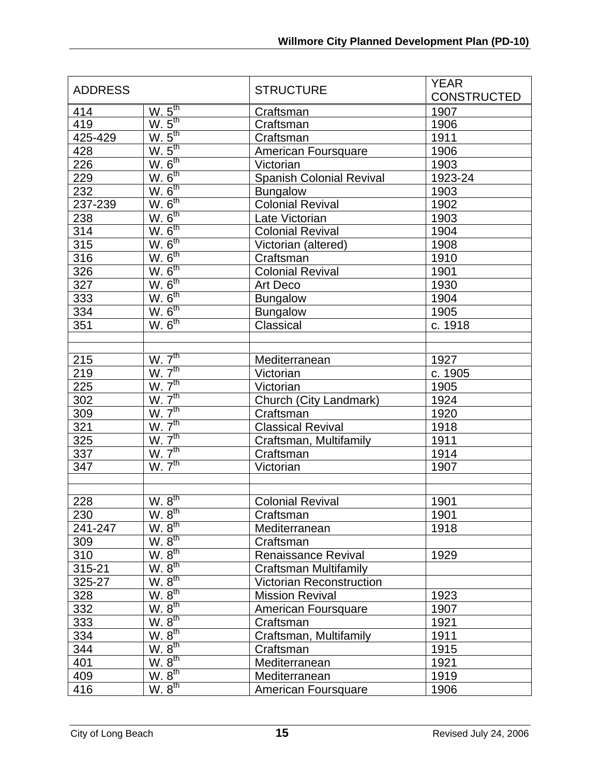| W.5 <sup>th</sup><br>414<br>1907<br>Craftsman<br>W. 5 <sup>th</sup><br>419<br>1906<br>Craftsman<br>W.5 <sup>th</sup><br>425-429<br>1911<br>Craftsman<br>$\frac{W. 5^{th}}{W. 6^{th}}$<br>428<br>1906<br>American Foursquare<br>226<br>Victorian<br>1903<br>W. 6 <sup>th</sup><br><b>Spanish Colonial Revival</b><br>229<br>1923-24<br>$W. 6th$<br>W. $6th$<br>232<br>1903<br><b>Bungalow</b><br><b>Colonial Revival</b><br>237-239<br>1902<br>W. 6 <sup>th</sup><br>238<br>1903<br>Late Victorian<br>W. 6 <sup>th</sup><br>314<br>1904<br><b>Colonial Revival</b><br>W. 6 <sup>th</sup><br>315<br>1908<br>Victorian (altered)<br>W. 6 <sup>th</sup><br>316<br>Craftsman<br>1910<br>W. 6 <sup>th</sup><br>326<br><b>Colonial Revival</b><br>1901<br>W. 6 <sup>th</sup><br>327<br>1930<br>Art Deco<br>W. 6 <sup>th</sup><br>333<br><b>Bungalow</b><br>1904<br>W. 6 <sup>th</sup><br>334<br>1905<br><b>Bungalow</b> | <b>ADDRESS</b> |                    | <b>STRUCTURE</b> | <b>YEAR</b><br><b>CONSTRUCTED</b> |
|------------------------------------------------------------------------------------------------------------------------------------------------------------------------------------------------------------------------------------------------------------------------------------------------------------------------------------------------------------------------------------------------------------------------------------------------------------------------------------------------------------------------------------------------------------------------------------------------------------------------------------------------------------------------------------------------------------------------------------------------------------------------------------------------------------------------------------------------------------------------------------------------------------------|----------------|--------------------|------------------|-----------------------------------|
|                                                                                                                                                                                                                                                                                                                                                                                                                                                                                                                                                                                                                                                                                                                                                                                                                                                                                                                  |                |                    |                  |                                   |
|                                                                                                                                                                                                                                                                                                                                                                                                                                                                                                                                                                                                                                                                                                                                                                                                                                                                                                                  |                |                    |                  |                                   |
|                                                                                                                                                                                                                                                                                                                                                                                                                                                                                                                                                                                                                                                                                                                                                                                                                                                                                                                  |                |                    |                  |                                   |
|                                                                                                                                                                                                                                                                                                                                                                                                                                                                                                                                                                                                                                                                                                                                                                                                                                                                                                                  |                |                    |                  |                                   |
|                                                                                                                                                                                                                                                                                                                                                                                                                                                                                                                                                                                                                                                                                                                                                                                                                                                                                                                  |                |                    |                  |                                   |
|                                                                                                                                                                                                                                                                                                                                                                                                                                                                                                                                                                                                                                                                                                                                                                                                                                                                                                                  |                |                    |                  |                                   |
|                                                                                                                                                                                                                                                                                                                                                                                                                                                                                                                                                                                                                                                                                                                                                                                                                                                                                                                  |                |                    |                  |                                   |
|                                                                                                                                                                                                                                                                                                                                                                                                                                                                                                                                                                                                                                                                                                                                                                                                                                                                                                                  |                |                    |                  |                                   |
|                                                                                                                                                                                                                                                                                                                                                                                                                                                                                                                                                                                                                                                                                                                                                                                                                                                                                                                  |                |                    |                  |                                   |
|                                                                                                                                                                                                                                                                                                                                                                                                                                                                                                                                                                                                                                                                                                                                                                                                                                                                                                                  |                |                    |                  |                                   |
|                                                                                                                                                                                                                                                                                                                                                                                                                                                                                                                                                                                                                                                                                                                                                                                                                                                                                                                  |                |                    |                  |                                   |
|                                                                                                                                                                                                                                                                                                                                                                                                                                                                                                                                                                                                                                                                                                                                                                                                                                                                                                                  |                |                    |                  |                                   |
|                                                                                                                                                                                                                                                                                                                                                                                                                                                                                                                                                                                                                                                                                                                                                                                                                                                                                                                  |                |                    |                  |                                   |
|                                                                                                                                                                                                                                                                                                                                                                                                                                                                                                                                                                                                                                                                                                                                                                                                                                                                                                                  |                |                    |                  |                                   |
|                                                                                                                                                                                                                                                                                                                                                                                                                                                                                                                                                                                                                                                                                                                                                                                                                                                                                                                  |                |                    |                  |                                   |
|                                                                                                                                                                                                                                                                                                                                                                                                                                                                                                                                                                                                                                                                                                                                                                                                                                                                                                                  |                |                    |                  |                                   |
|                                                                                                                                                                                                                                                                                                                                                                                                                                                                                                                                                                                                                                                                                                                                                                                                                                                                                                                  |                |                    |                  |                                   |
|                                                                                                                                                                                                                                                                                                                                                                                                                                                                                                                                                                                                                                                                                                                                                                                                                                                                                                                  | 351            | W. 6 <sup>th</sup> | Classical        | c. 1918                           |
|                                                                                                                                                                                                                                                                                                                                                                                                                                                                                                                                                                                                                                                                                                                                                                                                                                                                                                                  |                |                    |                  |                                   |
| W. 7 <sup>th</sup><br>215<br>Mediterranean<br>1927                                                                                                                                                                                                                                                                                                                                                                                                                                                                                                                                                                                                                                                                                                                                                                                                                                                               |                |                    |                  |                                   |
| W. 7 <sup>th</sup><br>219<br>c. 1905<br>Victorian                                                                                                                                                                                                                                                                                                                                                                                                                                                                                                                                                                                                                                                                                                                                                                                                                                                                |                |                    |                  |                                   |
| W. 7 <sup>th</sup><br>225<br>Victorian<br>1905                                                                                                                                                                                                                                                                                                                                                                                                                                                                                                                                                                                                                                                                                                                                                                                                                                                                   |                |                    |                  |                                   |
| W. 7 <sup>th</sup><br>302<br>Church (City Landmark)<br>1924                                                                                                                                                                                                                                                                                                                                                                                                                                                                                                                                                                                                                                                                                                                                                                                                                                                      |                |                    |                  |                                   |
| W. 7 <sup>th</sup><br>309<br>1920<br>Craftsman                                                                                                                                                                                                                                                                                                                                                                                                                                                                                                                                                                                                                                                                                                                                                                                                                                                                   |                |                    |                  |                                   |
| W. 7 <sup>th</sup><br>321<br><b>Classical Revival</b><br>1918                                                                                                                                                                                                                                                                                                                                                                                                                                                                                                                                                                                                                                                                                                                                                                                                                                                    |                |                    |                  |                                   |
| W. 7 <sup>th</sup><br>325<br>Craftsman, Multifamily<br>1911                                                                                                                                                                                                                                                                                                                                                                                                                                                                                                                                                                                                                                                                                                                                                                                                                                                      |                |                    |                  |                                   |
| W. 7 <sup>th</sup><br>337<br>Craftsman<br>1914                                                                                                                                                                                                                                                                                                                                                                                                                                                                                                                                                                                                                                                                                                                                                                                                                                                                   |                |                    |                  |                                   |
| W. 7 <sup>th</sup><br>347<br>Victorian<br>1907                                                                                                                                                                                                                                                                                                                                                                                                                                                                                                                                                                                                                                                                                                                                                                                                                                                                   |                |                    |                  |                                   |
|                                                                                                                                                                                                                                                                                                                                                                                                                                                                                                                                                                                                                                                                                                                                                                                                                                                                                                                  |                |                    |                  |                                   |
|                                                                                                                                                                                                                                                                                                                                                                                                                                                                                                                                                                                                                                                                                                                                                                                                                                                                                                                  |                |                    |                  |                                   |
| W. 8 <sup>th</sup><br>228<br><b>Colonial Revival</b><br>1901                                                                                                                                                                                                                                                                                                                                                                                                                                                                                                                                                                                                                                                                                                                                                                                                                                                     |                |                    |                  |                                   |
| W. 8 <sup>th</sup><br>230<br>Craftsman<br>1901                                                                                                                                                                                                                                                                                                                                                                                                                                                                                                                                                                                                                                                                                                                                                                                                                                                                   |                |                    |                  |                                   |
| W. 8 <sup>th</sup><br>241-247<br>1918<br>Mediterranean                                                                                                                                                                                                                                                                                                                                                                                                                                                                                                                                                                                                                                                                                                                                                                                                                                                           |                |                    |                  |                                   |
| W. 8 <sup>th</sup><br>309<br>Craftsman                                                                                                                                                                                                                                                                                                                                                                                                                                                                                                                                                                                                                                                                                                                                                                                                                                                                           |                |                    |                  |                                   |
| $\underline{W.\ 8}^{\text{th}}$<br>310<br>1929<br>Renaissance Revival                                                                                                                                                                                                                                                                                                                                                                                                                                                                                                                                                                                                                                                                                                                                                                                                                                            |                |                    |                  |                                   |
| W. 8 <sup>th</sup><br>315-21<br>Craftsman Multifamily                                                                                                                                                                                                                                                                                                                                                                                                                                                                                                                                                                                                                                                                                                                                                                                                                                                            |                |                    |                  |                                   |
| W. 8 <sup>th</sup><br>325-27<br><b>Victorian Reconstruction</b>                                                                                                                                                                                                                                                                                                                                                                                                                                                                                                                                                                                                                                                                                                                                                                                                                                                  |                |                    |                  |                                   |
| W. 8 <sup>th</sup><br>328<br>1923<br><b>Mission Revival</b>                                                                                                                                                                                                                                                                                                                                                                                                                                                                                                                                                                                                                                                                                                                                                                                                                                                      |                |                    |                  |                                   |
| W. 8 <sup>th</sup><br>332<br>American Foursquare<br>1907                                                                                                                                                                                                                                                                                                                                                                                                                                                                                                                                                                                                                                                                                                                                                                                                                                                         |                |                    |                  |                                   |
| $\underline{W. 8}^{\text{th}}$<br>333<br>Craftsman<br>1921                                                                                                                                                                                                                                                                                                                                                                                                                                                                                                                                                                                                                                                                                                                                                                                                                                                       |                |                    |                  |                                   |
| W. 8 <sup>th</sup><br>Craftsman, Multifamily<br>334<br>1911                                                                                                                                                                                                                                                                                                                                                                                                                                                                                                                                                                                                                                                                                                                                                                                                                                                      |                |                    |                  |                                   |
| W. 8 <sup>th</sup><br>344<br>1915<br>Craftsman                                                                                                                                                                                                                                                                                                                                                                                                                                                                                                                                                                                                                                                                                                                                                                                                                                                                   |                |                    |                  |                                   |
| W. 8 <sup>th</sup><br>401<br>Mediterranean<br>1921                                                                                                                                                                                                                                                                                                                                                                                                                                                                                                                                                                                                                                                                                                                                                                                                                                                               |                |                    |                  |                                   |
| W. 8 <sup>th</sup><br>409<br>Mediterranean<br>1919                                                                                                                                                                                                                                                                                                                                                                                                                                                                                                                                                                                                                                                                                                                                                                                                                                                               |                |                    |                  |                                   |
| W. 8 <sup>th</sup><br>416<br>1906<br>American Foursquare                                                                                                                                                                                                                                                                                                                                                                                                                                                                                                                                                                                                                                                                                                                                                                                                                                                         |                |                    |                  |                                   |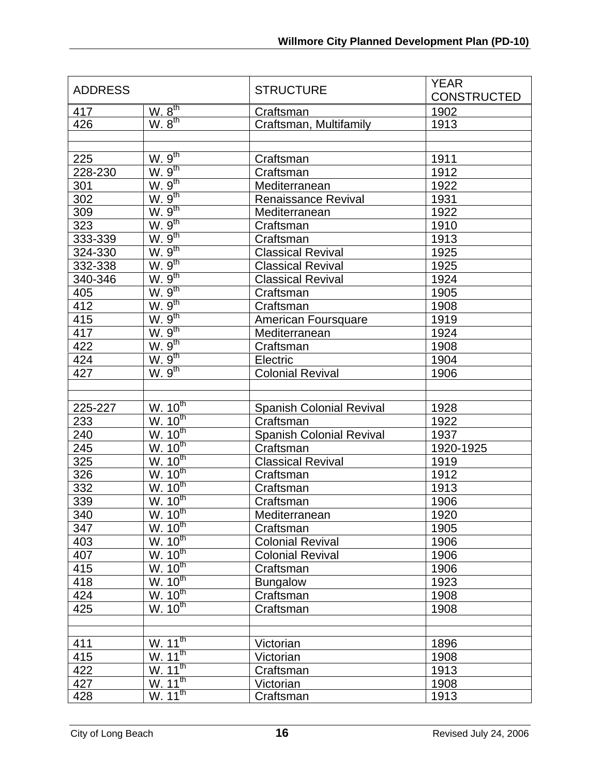| <b>ADDRESS</b> |                                               | <b>STRUCTURE</b>                | <b>YEAR</b><br><b>CONSTRUCTED</b> |
|----------------|-----------------------------------------------|---------------------------------|-----------------------------------|
| 417            | W. 8 <sup>th</sup>                            | Craftsman                       | 1902                              |
| 426            | W. 8 <sup>th</sup>                            | Craftsman, Multifamily          | 1913                              |
|                |                                               |                                 |                                   |
|                |                                               |                                 |                                   |
| 225            | $\underline{W.\ 9^{th}}$<br>W.9 <sup>th</sup> | Craftsman                       | 1911                              |
| 228-230        |                                               | Craftsman                       | 1912                              |
| 301            | W.9 <sup>th</sup>                             | Mediterranean                   | 1922                              |
| 302            | W.9 <sup>th</sup>                             | <b>Renaissance Revival</b>      | 1931                              |
| 309            | W.9 <sup>th</sup>                             | Mediterranean                   | 1922                              |
| 323            | W.9 <sup>th</sup>                             | Craftsman                       | 1910                              |
| 333-339        | W.9 <sup>th</sup>                             | Craftsman                       | 1913                              |
| 324-330        | $\frac{W.9^{th}}{W.9^{th}}$                   | <b>Classical Revival</b>        | 1925                              |
| 332-338        |                                               | <b>Classical Revival</b>        | 1925                              |
| 340-346        | W.9 <sup>th</sup>                             | <b>Classical Revival</b>        | 1924                              |
| 405            | W.9 <sup>th</sup>                             | Craftsman                       | 1905                              |
| 412            | W.9 <sup>th</sup>                             | Craftsman                       | 1908                              |
| 415            | W.9 <sup>th</sup>                             | American Foursquare             | 1919                              |
| 417            | W.9 <sup>th</sup>                             | Mediterranean                   | 1924                              |
| 422            | $\underline{W.9}^{\text{th}}$                 | Craftsman                       | 1908                              |
| 424            | W.9 <sup>th</sup>                             | Electric                        | 1904                              |
| 427            | W.9 <sup>th</sup>                             | <b>Colonial Revival</b>         | 1906                              |
|                |                                               |                                 |                                   |
|                |                                               |                                 |                                   |
| 225-227        | W. 10 <sup>th</sup>                           | <b>Spanish Colonial Revival</b> | 1928                              |
| 233            | W. 10 <sup>th</sup>                           | Craftsman                       | 1922                              |
| 240            | W. 10 <sup>th</sup>                           | <b>Spanish Colonial Revival</b> | 1937                              |
| 245            | W. 10 <sup>th</sup>                           | Craftsman                       | 1920-1925                         |
| 325            | W. 10 <sup>th</sup>                           | <b>Classical Revival</b>        | 1919                              |
| 326            | W. 10 <sup>th</sup>                           | Craftsman                       | 1912                              |
| 332            | W. 10 <sup>th</sup>                           | Craftsman                       | 1913                              |
| 339            | W. 10 <sup>th</sup>                           | Craftsman                       | 1906                              |
| 340            | W. 10 <sup>th</sup>                           | Mediterranean                   | 1920                              |
| 347            | W. 10 <sup>th</sup>                           | Craftsman                       | 1905                              |
| 403            | W. 10 <sup>th</sup>                           | <b>Colonial Revival</b>         | 1906                              |
| 407            | W. 10 <sup>th</sup>                           | <b>Colonial Revival</b>         | 1906                              |
| 415            | W. 10 <sup>th</sup>                           | Craftsman                       | 1906                              |
| 418            | W. 10 <sup>th</sup>                           | <b>Bungalow</b>                 | 1923                              |
| 424            | W. 10 <sup>th</sup>                           | Craftsman                       | 1908                              |
| 425            | $W.\overline{10^{th}}$                        | Craftsman                       | 1908                              |
|                |                                               |                                 |                                   |
|                |                                               |                                 |                                   |
| 411            | W. 11 <sup>th</sup>                           | Victorian                       | 1896                              |
| 415            | W. 11 <sup>th</sup>                           | Victorian                       | 1908                              |
| 422            | W. 11 <sup>th</sup>                           | Craftsman                       | 1913                              |
| 427            | W. 11 <sup>th</sup>                           | Victorian                       | 1908                              |
| 428            | W.11 <sup>th</sup>                            | Craftsman                       | 1913                              |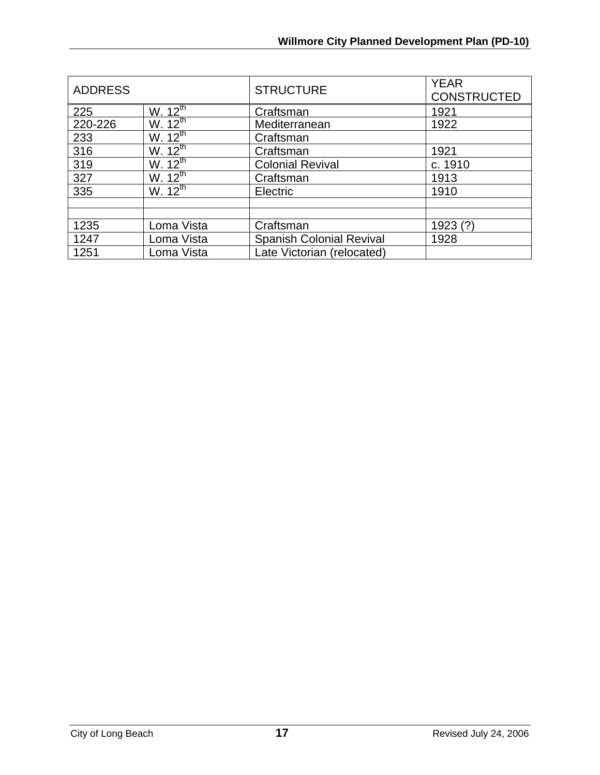| <b>ADDRESS</b> |                         | <b>STRUCTURE</b>                | <b>YEAR</b><br><b>CONSTRUCTED</b> |
|----------------|-------------------------|---------------------------------|-----------------------------------|
| 225            | W. $12^{\text{th}}$     | Craftsman                       | 1921                              |
| 220-226        | W. $12^{\overline{th}}$ | Mediterranean                   | 1922                              |
| 233            | W. $12^{\text{th}}$     | Craftsman                       |                                   |
| 316            | W. $12^{\overline{th}}$ | Craftsman                       | 1921                              |
| 319            | W. $12^{\overline{th}}$ | <b>Colonial Revival</b>         | c. 1910                           |
| 327            | W. $12^{\overline{th}}$ | Craftsman                       | 1913                              |
| 335            | W. $12^{th}$            | Electric                        | 1910                              |
|                |                         |                                 |                                   |
|                |                         |                                 |                                   |
| 1235           | Loma Vista              | Craftsman                       | 1923(?)                           |
| 1247           | Loma Vista              | <b>Spanish Colonial Revival</b> | 1928                              |
| 1251           | Loma Vista              | Late Victorian (relocated)      |                                   |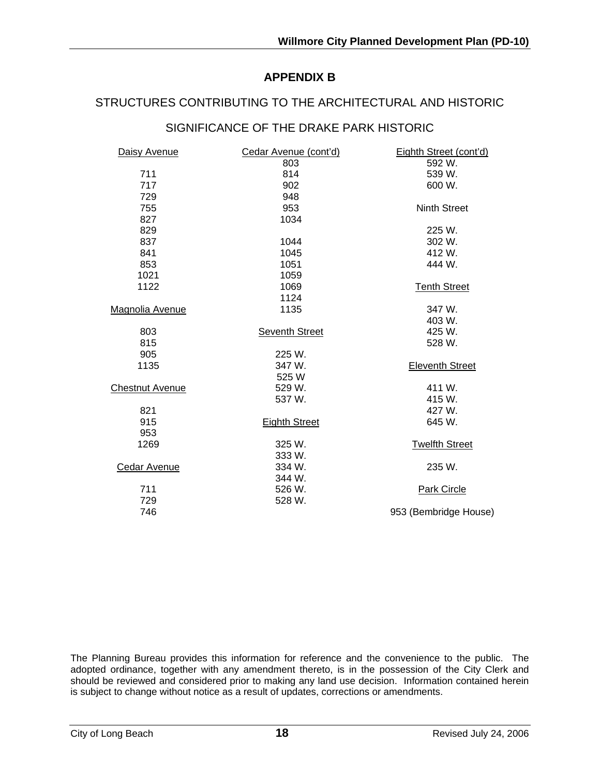## **APPENDIX B**

#### STRUCTURES CONTRIBUTING TO THE ARCHITECTURAL AND HISTORIC

## SIGNIFICANCE OF THE DRAKE PARK HISTORIC

| Daisy Avenue           | Cedar Avenue (cont'd) | Eighth Street (cont'd) |
|------------------------|-----------------------|------------------------|
|                        | 803                   | 592 W.                 |
| 711                    | 814                   | 539 W.                 |
| 717                    | 902                   | 600 W.                 |
| 729                    | 948                   |                        |
| 755                    | 953                   | <b>Ninth Street</b>    |
| 827                    | 1034                  |                        |
| 829                    |                       | 225 W.                 |
| 837                    | 1044                  | 302 W.                 |
| 841                    | 1045                  | 412 W.                 |
| 853                    | 1051                  | 444 W.                 |
| 1021                   | 1059                  |                        |
| 1122                   | 1069                  | <b>Tenth Street</b>    |
|                        | 1124                  |                        |
| Magnolia Avenue        | 1135                  | 347 W.                 |
|                        |                       | 403 W.                 |
| 803                    | <b>Seventh Street</b> | 425 W.                 |
| 815                    |                       | 528 W.                 |
| 905                    | 225 W.                |                        |
| 1135                   | 347 W.                | <b>Eleventh Street</b> |
|                        | 525 W                 |                        |
| <b>Chestnut Avenue</b> | 529 W.                | 411 W.                 |
|                        | 537 W.                | 415 W.                 |
| 821                    |                       | 427 W.                 |
| 915                    | <b>Eighth Street</b>  | 645 W.                 |
| 953                    |                       |                        |
| 1269                   | 325 W.                | <b>Twelfth Street</b>  |
|                        | 333 W.                |                        |
| <b>Cedar Avenue</b>    | 334 W.                | 235 W.                 |
|                        | 344 W.                |                        |
| 711                    | 526 W.                | <b>Park Circle</b>     |
| 729                    | 528 W.                |                        |
| 746                    |                       | 953 (Bembridge House)  |

The Planning Bureau provides this information for reference and the convenience to the public. The adopted ordinance, together with any amendment thereto, is in the possession of the City Clerk and should be reviewed and considered prior to making any land use decision. Information contained herein is subject to change without notice as a result of updates, corrections or amendments.